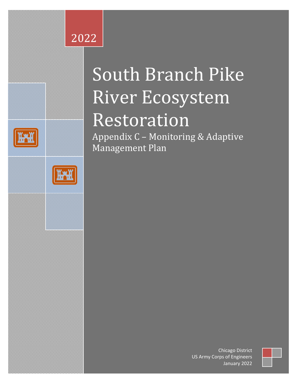## **8 Section 506** 2022 Great Lakes Fishery & Ecosystem Restoration and the Ecosystem Restoration Restoration and the Ecosystem Restoration<br>The Ecosystem Restoration Restoration Restoration Restoration Restoration Restoration Restoration Restorat



Ŝ

# South Branch Pike River Ecosystem

## Restoration

Appendix C – Monitoring & Adaptive Management Plan



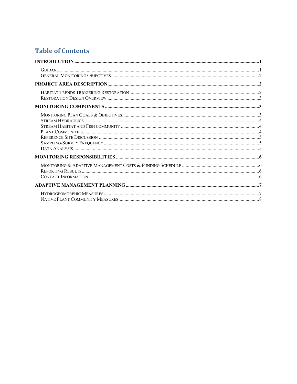## **Table of Contents**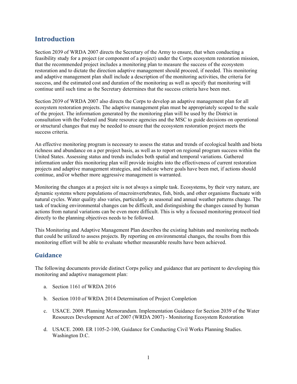## <span id="page-2-0"></span>**Introduction**

Section 2039 of WRDA 2007 directs the Secretary of the Army to ensure, that when conducting a feasibility study for a project (or component of a project) under the Corps ecosystem restoration mission, that the recommended project includes a monitoring plan to measure the success of the ecosystem restoration and to dictate the direction adaptive management should proceed, if needed. This monitoring and adaptive management plan shall include a description of the monitoring activities, the criteria for success, and the estimated cost and duration of the monitoring as well as specify that monitoring will continue until such time as the Secretary determines that the success criteria have been met.

Section 2039 of WRDA 2007 also directs the Corps to develop an adaptive management plan for all ecosystem restoration projects. The adaptive management plan must be appropriately scoped to the scale of the project. The information generated by the monitoring plan will be used by the District in consultation with the Federal and State resource agencies and the MSC to guide decisions on operational or structural changes that may be needed to ensure that the ecosystem restoration project meets the success criteria.

An effective monitoring program is necessary to assess the status and trends of ecological health and biota richness and abundance on a per project basis, as well as to report on regional program success within the United States. Assessing status and trends includes both spatial and temporal variations. Gathered information under this monitoring plan will provide insights into the effectiveness of current restoration projects and adaptive management strategies, and indicate where goals have been met, if actions should continue, and/or whether more aggressive management is warranted.

Monitoring the changes at a project site is not always a simple task. Ecosystems, by their very nature, are dynamic systems where populations of macroinvertebrates, fish, birds, and other organisms fluctuate with natural cycles. Water quality also varies, particularly as seasonal and annual weather patterns change. The task of tracking environmental changes can be difficult, and distinguishing the changes caused by human actions from natural variations can be even more difficult. This is why a focused monitoring protocol tied directly to the planning objectives needs to be followed.

This Monitoring and Adaptive Management Plan describes the existing habitats and monitoring methods that could be utilized to assess projects. By reporting on environmental changes, the results from this monitoring effort will be able to evaluate whether measurable results have been achieved.

#### <span id="page-2-1"></span>**Guidance**

The following documents provide distinct Corps policy and guidance that are pertinent to developing this monitoring and adaptive management plan:

- a. Section 1161 of WRDA 2016
- b. Section 1010 of WRDA 2014 Determination of Project Completion
- c. USACE. 2009. Planning Memorandum. Implementation Guidance for Section 2039 of the Water Resources Development Act of 2007 (WRDA 2007) - Monitoring Ecosystem Restoration
- d. USACE. 2000. ER 1105-2-100, Guidance for Conducting Civil Works Planning Studies. Washington D.C.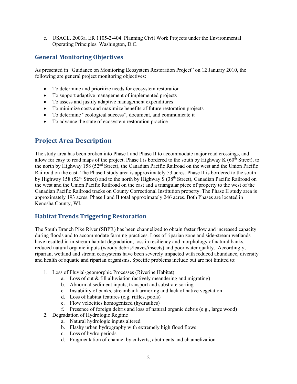e. USACE. 2003a. ER 1105-2-404. Planning Civil Work Projects under the Environmental Operating Principles. Washington, D.C.

#### <span id="page-3-0"></span>**General Monitoring Objectives**

As presented in "Guidance on Monitoring Ecosystem Restoration Project" on 12 January 2010, the following are general project monitoring objectives:

- To determine and prioritize needs for ecosystem restoration
- To support adaptive management of implemented projects
- To assess and justify adaptive management expenditures
- To minimize costs and maximize benefits of future restoration projects
- To determine "ecological success", document, and communicate it
- To advance the state of ecosystem restoration practice

### <span id="page-3-1"></span>**Project Area Description**

The study area has been broken into Phase I and Phase II to accommodate major road crossings, and allow for easy to read maps of the project. Phase I is bordered to the south by Highway K ( $60<sup>th</sup>$  Street), to the north by Highway 158 (52nd Street), the Canadian Pacific Railroad on the west and the Union Pacific Railroad on the east. The Phase I study area is approximately 53 acres. Phase II is bordered to the south by Highway 158 (52<sup>nd</sup> Street) and to the north by Highway S (38<sup>th</sup> Street), Canadian Pacific Railroad on the west and the Union Pacific Railroad on the east and a triangular piece of property to the west of the Canadian Pacific Railroad tracks on County Correctional Institution property. The Phase II study area is approximately 193 acres. Phase I and II total approximately 246 acres. Both Phases are located in Kenosha County, WI.

#### <span id="page-3-2"></span>**Habitat Trends Triggering Restoration**

The South Branch Pike River (SBPR) has been channelized to obtain faster flow and increased capacity during floods and to accommodate farming practices. Loss of riparian zone and side-stream wetlands have resulted in in-stream habitat degradation, loss in resiliency and morphology of natural banks, reduced natural organic inputs (woody debris/leaves/insects) and poor water quality. Accordingly, riparian, wetland and stream ecosystems have been severely impacted with reduced abundance, diversity and health of aquatic and riparian organisms. Specific problems include but are not limited to:

- 1. Loss of Fluvial-geomorphic Processes (Riverine Habitat)
	- a. Loss of cut & fill alluviation (actively meandering and migrating)
	- b. Abnormal sediment inputs, transport and substrate sorting
	- c. Instability of banks, streambank armoring and lack of native vegetation
	- d. Loss of habitat features (e.g. riffles, pools)
	- e. Flow velocities homogenized (hydraulics)
	- f. Presence of foreign debris and loss of natural organic debris (e.g., large wood)
- 2. Degradation of Hydrologic Regime
	- a. Natural hydrologic inputs altered
	- b. Flashy urban hydrography with extremely high flood flows
	- c. Loss of hydro periods
	- d. Fragmentation of channel by culverts, abutments and channelization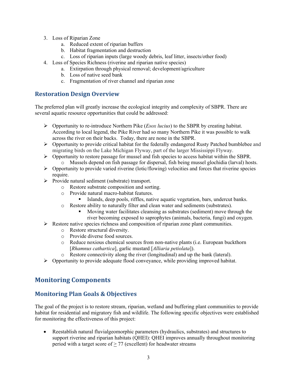- 3. Loss of Riparian Zone
	- a. Reduced extent of riparian buffers
	- b. Habitat fragmentation and destruction
	- c. Loss of riparian inputs (large woody debris, leaf litter, insects/other food)
- 4. Loss of Species Richness (riverine and riparian native species)
	- a. Extirpation through physical removal; development/agriculture
		- b. Loss of native seed bank
		- c. Fragmentation of river channel and riparian zone

#### <span id="page-4-0"></span>**Restoration Design Overview**

The preferred plan will greatly increase the ecological integrity and complexity of SBPR. There are several aquatic resource opportunities that could be addressed:

- Opportunity to re-introduce Northern Pike (*Esox lucius*) to the SBPR by creating habitat. According to local legend, the Pike River had so many Northern Pike it was possible to walk across the river on their backs. Today, there are none in the SBPR.
- Opportunity to provide critical habitat for the federally endangered Rusty Patched bumblebee and migrating birds on the Lake Michigan Flyway, part of the larger Mississippi Flyway.
- $\triangleright$  Opportunity to restore passage for mussel and fish species to access habitat within the SBPR.
	- o Mussels depend on fish passage for dispersal, fish being mussel glochidia (larval) hosts.
- $\triangleright$  Opportunity to provide varied riverine (lotic/flowing) velocities and forces that riverine species require.
- $\triangleright$  Provide natural sediment (substrate) transport.
	- o Restore substrate composition and sorting.
	- o Provide natural macro-habitat features.
		- Islands, deep pools, riffles, native aquatic vegetation, bars, undercut banks.
	- o Restore ability to naturally filter and clean water and sediments (substrates).
		- Moving water facilitates cleansing as substrates (sediment) move through the river becoming exposed to saprophytes (animals, bacteria, fungi) and oxygen.
- $\triangleright$  Restore native species richness and composition of riparian zone plant communities.
	- o Restore structural diversity.
	- o Provide diverse food sources.
	- o Reduce noxious chemical sources from non-native plants (i.e. European buckthorn [*Rhamnus cathartica*], garlic mustard [*Alliaria petiolata*]).
	- o Restore connectivity along the river (longitudinal) and up the bank (lateral).
- $\triangleright$  Opportunity to provide adequate flood conveyance, while providing improved habitat.

## <span id="page-4-1"></span>**Monitoring Components**

#### <span id="page-4-2"></span>**Monitoring Plan Goals & Objectives**

The goal of the project is to restore stream, riparian, wetland and buffering plant communities to provide habitat for residential and migratory fish and wildlife. The following specific objectives were established for monitoring the effectiveness of this project:

• Reestablish natural fluvialgeomorphic parameters (hydraulics, substrates) and structures to support riverine and riparian habitats (QHEI): QHEI improves annually throughout monitoring period with a target score of  $> 77$  (excellent) for headwater streams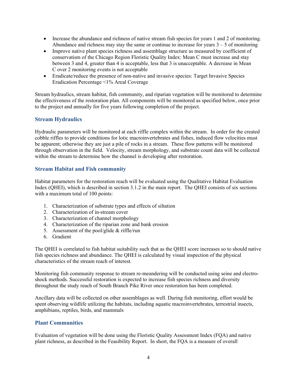- Increase the abundance and richness of native stream fish species for years 1 and 2 of monitoring. Abundance and richness may stay the same or continue to increase for years  $3 - 5$  of monitoring
- Improve native plant species richness and assemblage structure as measured by coefficient of conservatism of the Chicago Region Floristic Quality Index: Mean C must increase and stay between 3 and 4, greater than 4 is acceptable, less that 3 is unacceptable. A decrease in Mean C over 2 monitoring events is not acceptable
- Eradicate/reduce the presence of non-native and invasive species: Target Invasive Species Eradication Percentage <1% Areal Coverage

Stream hydraulics, stream habitat, fish community, and riparian vegetation will be monitored to determine the effectiveness of the restoration plan. All components will be monitored as specified below, once prior to the project and annually for five years following completion of the project.

#### <span id="page-5-0"></span>**Stream Hydraulics**

Hydraulic parameters will be monitored at each riffle complex within the stream. In order for the created cobble riffles to provide conditions for lotic macroinvertebrates and fishes, induced flow velocities must be apparent; otherwise they are just a pile of rocks in a stream. These flow patterns will be monitored through observation in the field. Velocity, stream morphology, and substrate count data will be collected within the stream to determine how the channel is developing after restoration.

#### <span id="page-5-1"></span>**Stream Habitat and Fish community**

Habitat parameters for the restoration reach will be evaluated using the Qualitative Habitat Evaluation Index (QHEI), which is described in section 3.1.2 in the main report. The QHEI consists of six sections with a maximum total of 100 points:

- 1. Characterization of substrate types and effects of siltation
- 2. Characterization of in-stream cover
- 3. Characterization of channel morphology
- 4. Characterization of the riparian zone and bank erosion
- 5. Assessment of the pool/glide & riffle/run
- 6. Gradient

The QHEI is correlated to fish habitat suitability such that as the QHEI score increases so to should native fish species richness and abundance. The QHEI is calculated by visual inspection of the physical characteristics of the stream reach of interest.

Monitoring fish community response to stream re-meandering will be conducted using seine and electroshock methods. Successful restoration is expected to increase fish species richness and diversity throughout the study reach of South Branch Pike River once restoration has been completed.

Ancillary data will be collected on other assemblages as well. During fish monitoring, effort would be spent observing wildlife utilizing the habitats, including aquatic macroinvertebrates, terrestrial insects, amphibians, reptiles, birds, and mammals

#### <span id="page-5-2"></span>**Plant Communities**

Evaluation of vegetation will be done using the Floristic Quality Assessment Index (FQA) and native plant richness, as described in the Feasibility Report. In short, the FQA is a measure of overall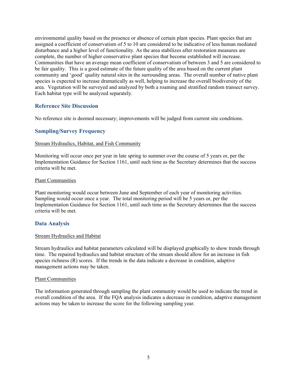environmental quality based on the presence or absence of certain plant species. Plant species that are assigned a coefficient of conservatism of 5 to 10 are considered to be indicative of less human mediated disturbance and a higher level of functionality. As the area stabilizes after restoration measures are complete, the number of higher conservative plant species that become established will increase. Communities that have an average mean coefficient of conservatism of between 3 and 5 are considered to be fair quality. This is a good estimate of the future quality of the area based on the current plant community and 'good' quality natural sites in the surrounding areas. The overall number of native plant species is expected to increase dramatically as well, helping to increase the overall biodiversity of the area. Vegetation will be surveyed and analyzed by both a roaming and stratified random transect survey. Each habitat type will be analyzed separately.

#### <span id="page-6-0"></span>**Reference Site Discussion**

No reference site is deemed necessary; improvements will be judged from current site conditions.

#### <span id="page-6-1"></span>**Sampling/Survey Frequency**

#### Stream Hydraulics, Habitat, and Fish Community

Monitoring will occur once per year in late spring to summer over the course of 5 years or, per the Implementation Guidance for Section 1161, until such time as the Secretary determines that the success criteria will be met.

#### Plant Communities

Plant monitoring would occur between June and September of each year of monitoring activities. Sampling would occur once a year. The total monitoring period will be 5 years or, per the Implementation Guidance for Section 1161, until such time as the Secretary determines that the success criteria will be met.

#### <span id="page-6-2"></span>**Data Analysis**

#### Stream Hydraulics and Habitat

Stream hydraulics and habitat parameters calculated will be displayed graphically to show trends through time. The repaired hydraulics and habitat structure of the stream should allow for an increase in fish species richness (R) scores. If the trends in the data indicate a decrease in condition, adaptive management actions may be taken.

#### Plant Communities

The information generated through sampling the plant community would be used to indicate the trend in overall condition of the area. If the FQA analysis indicates a decrease in condition, adaptive management actions may be taken to increase the score for the following sampling year.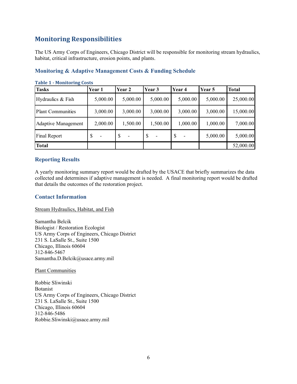## <span id="page-7-0"></span>**Monitoring Responsibilities**

The US Army Corps of Engineers, Chicago District will be responsible for monitoring stream hydraulics, habitat, critical infrastructure, erosion points, and plants.

| <b>Table 1 - Monitoring Costs</b> |                                |          |                                           |          |          |              |  |  |
|-----------------------------------|--------------------------------|----------|-------------------------------------------|----------|----------|--------------|--|--|
| <b>Tasks</b>                      | Year 1                         | Year 2   | Year 3                                    | Year 4   | Year 5   | <b>Total</b> |  |  |
| Hydraulics & Fish                 | 5,000.00                       | 5,000.00 | 5,000.00                                  | 5,000.00 | 5,000.00 | 25,000.00    |  |  |
| <b>Plant Communities</b>          | 3,000.00                       | 3,000.00 | 3,000.00                                  | 3,000.00 | 3,000.00 | 15,000.00    |  |  |
| <b>Adaptive Management</b>        | 2,000.00                       | 1,500.00 | 1,500.00                                  | 1,000.00 | 1,000.00 | 7,000.00     |  |  |
| Final Report                      | -S<br>$\overline{\phantom{a}}$ | S<br>-   | <sup>\$</sup><br>$\overline{\phantom{a}}$ | S        | 5,000.00 | 5,000.00     |  |  |
| <b>Total</b>                      |                                |          |                                           |          |          | 52,000.00    |  |  |

#### <span id="page-7-1"></span>**Monitoring & Adaptive Management Costs & Funding Schedule**

<span id="page-7-2"></span>**Reporting Results**

A yearly monitoring summary report would be drafted by the USACE that briefly summarizes the data collected and determines if adaptive management is needed. A final monitoring report would be drafted that details the outcomes of the restoration project.

#### <span id="page-7-3"></span>**Contact Information**

Stream Hydraulics, Habitat, and Fish

Samantha Belcik Biologist / Restoration Ecologist US Army Corps of Engineers, Chicago District 231 S. LaSalle St., Suite 1500 Chicago, Illinois 60604 312-846-5467 Samantha.D.Belcik@usace.army.mil

Plant Communities

Robbie Sliwinski Botanist US Army Corps of Engineers, Chicago District 231 S. LaSalle St., Suite 1500 Chicago, Illinois 60604 312-846-5486 Robbie.Sliwinski@usace.army.mil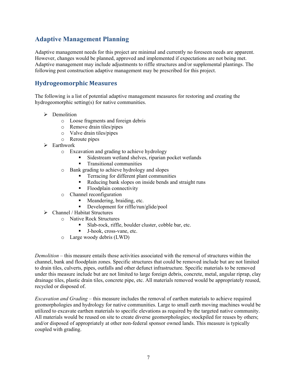### <span id="page-8-0"></span>**Adaptive Management Planning**

Adaptive management needs for this project are minimal and currently no foreseen needs are apparent. However, changes would be planned, approved and implemented if expectations are not being met. Adaptive management may include adjustments to riffle structures and/or supplemental plantings. The following post construction adaptive management may be prescribed for this project.

#### <span id="page-8-1"></span>**Hydrogeomorphic Measures**

The following is a list of potential adaptive management measures for restoring and creating the hydrogeomorphic setting(s) for native communities.

- $\triangleright$  Demolition
	- o Loose fragments and foreign debris
	- o Remove drain tiles/pipes
	- o Valve drain tiles/pipes
	- o Reroute pipes
- $\triangleright$  Earthwork
	- o Excavation and grading to achieve hydrology
		- Sidestream wetland shelves, riparian pocket wetlands
		- Transitional communities
	- o Bank grading to achieve hydrology and slopes
		- **Terracing for different plant communities**
		- Reducing bank slopes on inside bends and straight runs
		- Floodplain connectivity
	- o Channel reconfiguration
		- Meandering, braiding, etc.
		- Development for riffle/run/glide/pool
- $\triangleright$  Channel / Habitat Structures
	- o Native Rock Structures
		- Slab-rock, riffle, boulder cluster, cobble bar, etc.
		- **J**-hook, cross-vane, etc.
	- o Large woody debris (LWD)

*Demolition* – this measure entails those activities associated with the removal of structures within the channel, bank and floodplain zones. Specific structures that could be removed include but are not limited to drain tiles, culverts, pipes, outfalls and other defunct infrastructure. Specific materials to be removed under this measure include but are not limited to large foreign debris, concrete, metal, angular riprap, clay drainage tiles, plastic drain tiles, concrete pipe, etc. All materials removed would be appropriately reused, recycled or disposed of.

*Excavation and Grading* – this measure includes the removal of earthen materials to achieve required geomorphologies and hydrology for native communities. Large to small earth moving machines would be utilized to excavate earthen materials to specific elevations as required by the targeted native community. All materials would be reused on site to create diverse geomorphologies; stockpiled for reuses by others; and/or disposed of appropriately at other non-federal sponsor owned lands. This measure is typically coupled with grading.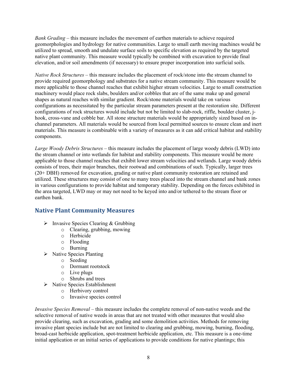*Bank Grading* – this measure includes the movement of earthen materials to achieve required geomorphologies and hydrology for native communities. Large to small earth moving machines would be utilized to spread, smooth and undulate surface soils to specific elevation as required by the targeted native plant community. This measure would typically be combined with excavation to provide final elevation, and/or soil amendments (if necessary) to ensure proper incorporation into surficial soils.

*Native Rock Structures* – this measure includes the placement of rock/stone into the stream channel to provide required geomorphology and substrates for a native stream community. This measure would be more applicable to those channel reaches that exhibit higher stream velocities. Large to small construction machinery would place rock slabs, boulders and/or cobbles that are of the same make up and general shapes as natural reaches with similar gradient. Rock/stone materials would take on various configurations as necessitated by the particular stream parameters present at the restoration site. Different configurations of rock structures would include but not be limited to slab-rock, riffle, boulder cluster, jhook, cross-vane and cobble bar. All stone structure materials would be appropriately sized based on inchannel parameters. All materials would be sourced from local permitted sources to ensure clean and inert materials. This measure is combinable with a variety of measures as it can add critical habitat and stability components.

*Large Woody Debris Structures* – this measure includes the placement of large woody debris (LWD) into the stream channel or into wetlands for habitat and stability components. This measure would be more applicable to those channel reaches that exhibit lower stream velocities and wetlands. Large woody debris consists of trees, their major branches, their rootwad and combinations of such. Typically, larger trees (20+ DBH) removed for excavation, grading or native plant community restoration are retained and utilized. These structures may consist of one to many trees placed into the stream channel and bank zones in various configurations to provide habitat and temporary stability. Depending on the forces exhibited in the area targeted, LWD may or may not need to be keyed into and/or tethered to the stream floor or earthen bank.

#### <span id="page-9-0"></span>**Native Plant Community Measures**

- $\triangleright$  Invasive Species Clearing & Grubbing
	- o Clearing, grubbing, mowing
	- o Herbicide
	- o Flooding
	- o Burning
- $\triangleright$  Native Species Planting
	- o Seeding
	- o Dormant rootstock
	- o Live plugs
	- o Shrubs and trees
- $\triangleright$  Native Species Establishment
	- o Herbivory control
	- o Invasive species control

*Invasive Species Removal* – this measure includes the complete removal of non-native weeds and the selective removal of native weeds in areas that are not treated with other measures that would also provide clearing, such as excavation, grading and some demolition activities. Methods for removing invasive plant species include but are not limited to clearing and grubbing, mowing, burning, flooding, broad-cast herbicide application, spot-treatment herbicide application, etc. This measure is a one-time initial application or an initial series of applications to provide conditions for native plantings; this